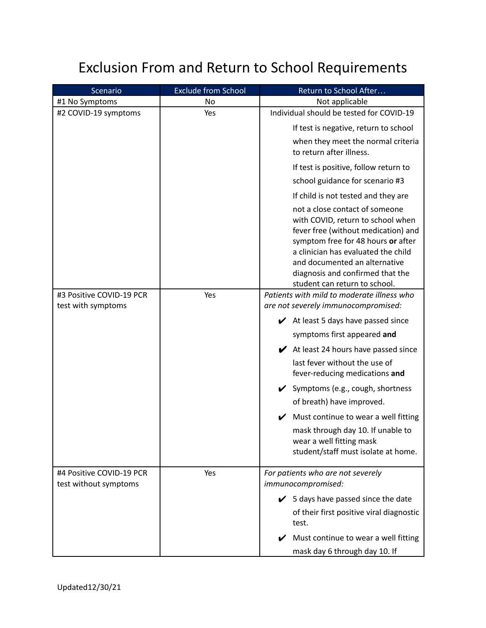## Exclusion From and Return to School Requirements

| Scenario                 | <b>Exclude from School</b> | Return to School After                                                                                                                                                                                                                                                                        |
|--------------------------|----------------------------|-----------------------------------------------------------------------------------------------------------------------------------------------------------------------------------------------------------------------------------------------------------------------------------------------|
| #1 No Symptoms           | No                         | Not applicable                                                                                                                                                                                                                                                                                |
| #2 COVID-19 symptoms     | Yes                        | Individual should be tested for COVID-19                                                                                                                                                                                                                                                      |
|                          |                            | If test is negative, return to school                                                                                                                                                                                                                                                         |
|                          |                            | when they meet the normal criteria<br>to return after illness.                                                                                                                                                                                                                                |
|                          |                            | If test is positive, follow return to                                                                                                                                                                                                                                                         |
|                          |                            | school guidance for scenario #3                                                                                                                                                                                                                                                               |
|                          |                            | If child is not tested and they are                                                                                                                                                                                                                                                           |
|                          |                            | not a close contact of someone<br>with COVID, return to school when<br>fever free (without medication) and<br>symptom free for 48 hours or after<br>a clinician has evaluated the child<br>and documented an alternative<br>diagnosis and confirmed that the<br>student can return to school. |
| #3 Positive COVID-19 PCR | Yes                        | Patients with mild to moderate illness who                                                                                                                                                                                                                                                    |
| test with symptoms       |                            | are not severely immunocompromised:                                                                                                                                                                                                                                                           |
|                          |                            | $\blacktriangleright$ At least 5 days have passed since                                                                                                                                                                                                                                       |
|                          |                            | symptoms first appeared and                                                                                                                                                                                                                                                                   |
|                          |                            | $\blacktriangleright$ At least 24 hours have passed since                                                                                                                                                                                                                                     |
|                          |                            | last fever without the use of<br>fever-reducing medications and                                                                                                                                                                                                                               |
|                          |                            | ✔ Symptoms (e.g., cough, shortness                                                                                                                                                                                                                                                            |
|                          |                            | of breath) have improved.                                                                                                                                                                                                                                                                     |
|                          |                            | Must continue to wear a well fitting                                                                                                                                                                                                                                                          |
|                          |                            | mask through day 10. If unable to<br>wear a well fitting mask<br>student/staff must isolate at home.                                                                                                                                                                                          |
| #4 Positive COVID-19 PCR | Yes                        | For patients who are not severely                                                                                                                                                                                                                                                             |
| test without symptoms    |                            | immunocompromised:                                                                                                                                                                                                                                                                            |
|                          |                            | $\checkmark$ 5 days have passed since the date                                                                                                                                                                                                                                                |
|                          |                            | of their first positive viral diagnostic<br>test.                                                                                                                                                                                                                                             |
|                          |                            | Must continue to wear a well fitting                                                                                                                                                                                                                                                          |
|                          |                            | mask day 6 through day 10. If                                                                                                                                                                                                                                                                 |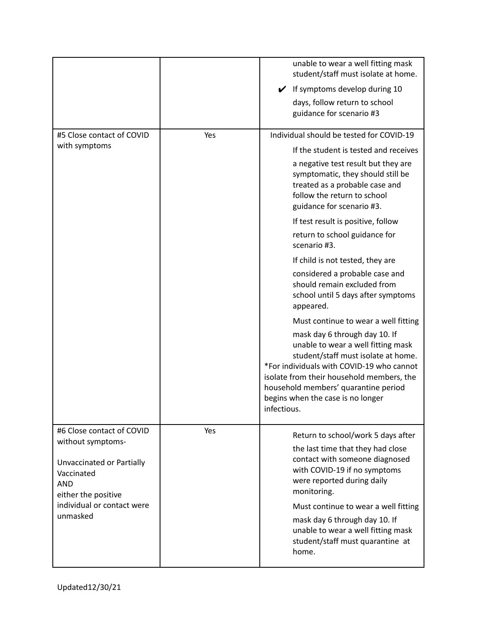|                                                                                                                                                                          |     | unable to wear a well fitting mask<br>student/staff must isolate at home.                                                                                                                                                                                                                        |
|--------------------------------------------------------------------------------------------------------------------------------------------------------------------------|-----|--------------------------------------------------------------------------------------------------------------------------------------------------------------------------------------------------------------------------------------------------------------------------------------------------|
|                                                                                                                                                                          |     | If symptoms develop during 10<br>$\checkmark$                                                                                                                                                                                                                                                    |
|                                                                                                                                                                          |     | days, follow return to school<br>guidance for scenario #3                                                                                                                                                                                                                                        |
| #5 Close contact of COVID                                                                                                                                                | Yes | Individual should be tested for COVID-19                                                                                                                                                                                                                                                         |
| with symptoms                                                                                                                                                            |     | If the student is tested and receives                                                                                                                                                                                                                                                            |
|                                                                                                                                                                          |     | a negative test result but they are<br>symptomatic, they should still be<br>treated as a probable case and<br>follow the return to school<br>guidance for scenario #3.                                                                                                                           |
|                                                                                                                                                                          |     | If test result is positive, follow                                                                                                                                                                                                                                                               |
|                                                                                                                                                                          |     | return to school guidance for<br>scenario #3.                                                                                                                                                                                                                                                    |
|                                                                                                                                                                          |     | If child is not tested, they are                                                                                                                                                                                                                                                                 |
|                                                                                                                                                                          |     | considered a probable case and<br>should remain excluded from<br>school until 5 days after symptoms<br>appeared.                                                                                                                                                                                 |
|                                                                                                                                                                          |     | Must continue to wear a well fitting                                                                                                                                                                                                                                                             |
|                                                                                                                                                                          |     | mask day 6 through day 10. If<br>unable to wear a well fitting mask<br>student/staff must isolate at home.<br>*For individuals with COVID-19 who cannot<br>isolate from their household members, the<br>household members' quarantine period<br>begins when the case is no longer<br>infectious. |
| #6 Close contact of COVID<br>without symptoms-<br>Unvaccinated or Partially<br>Vaccinated<br><b>AND</b><br>either the positive<br>individual or contact were<br>unmasked | Yes | Return to school/work 5 days after                                                                                                                                                                                                                                                               |
|                                                                                                                                                                          |     | the last time that they had close<br>contact with someone diagnosed<br>with COVID-19 if no symptoms<br>were reported during daily<br>monitoring.                                                                                                                                                 |
|                                                                                                                                                                          |     | Must continue to wear a well fitting<br>mask day 6 through day 10. If<br>unable to wear a well fitting mask<br>student/staff must quarantine at<br>home.                                                                                                                                         |
|                                                                                                                                                                          |     |                                                                                                                                                                                                                                                                                                  |